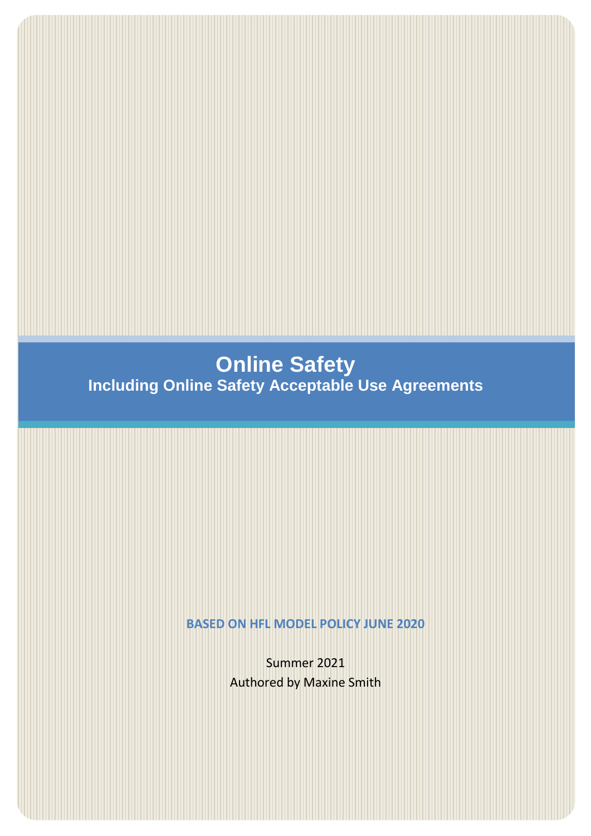# <span id="page-0-0"></span>**Online Safety Including Online Safety Acceptable Use Agreements**

**BASED ON HFL MODEL POLICY JUNE 2020**

Summer 2021 Authored by Maxine Smith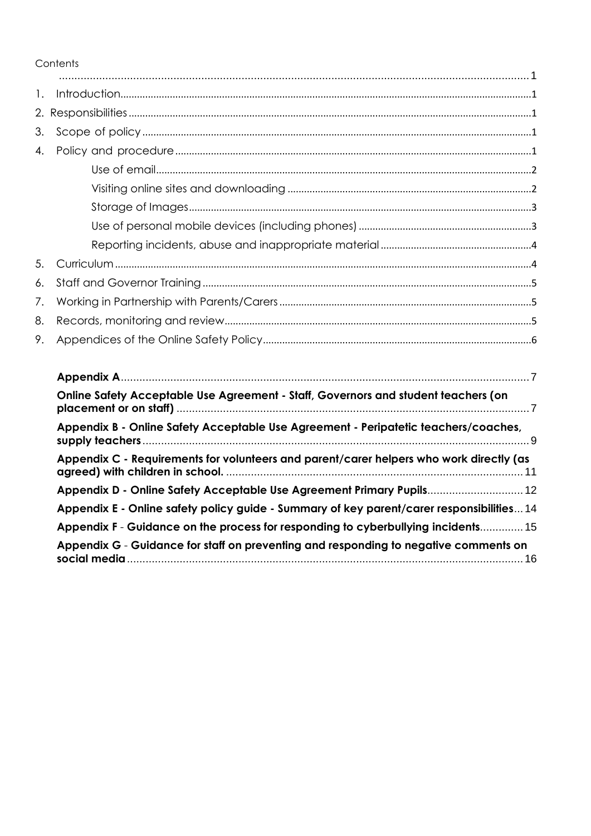Contents

| $\mathbf{1}$ .   |                                                                                           |
|------------------|-------------------------------------------------------------------------------------------|
|                  |                                                                                           |
| 3.               |                                                                                           |
| $\overline{4}$ . |                                                                                           |
|                  |                                                                                           |
|                  |                                                                                           |
|                  |                                                                                           |
|                  |                                                                                           |
|                  |                                                                                           |
| 5.               |                                                                                           |
| 6.               |                                                                                           |
| 7.               |                                                                                           |
| 8.               |                                                                                           |
| 9.               |                                                                                           |
|                  |                                                                                           |
|                  | Online Safety Acceptable Use Agreement - Staff, Governors and student teachers (on        |
|                  | Appendix B - Online Safety Acceptable Use Agreement - Peripatetic teachers/coaches,       |
|                  | Appendix C - Requirements for volunteers and parent/carer helpers who work directly (as   |
|                  | Appendix D - Online Safety Acceptable Use Agreement Primary Pupils 12                     |
|                  | Appendix E - Online safety policy guide - Summary of key parent/carer responsibilities 14 |
|                  | Appendix F - Guidance on the process for responding to cyberbullying incidents 15         |
|                  | Appendix G - Guidance for staff on preventing and responding to negative comments on      |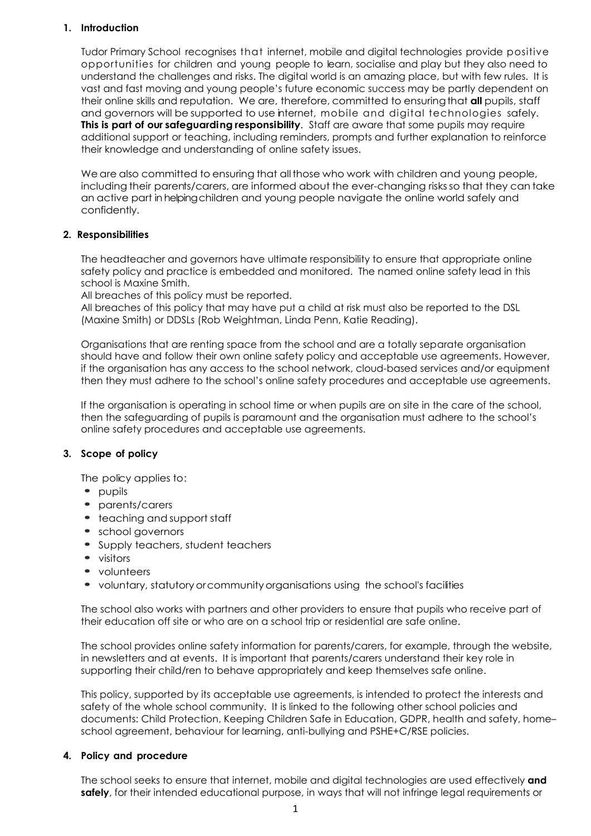# <span id="page-2-0"></span>**1. Introduction**

Tudor Primary School recognises that internet, mobile and digital technologies provide positive opportunities for children and young people to learn, socialise and play but they also need to understand the challenges and risks. The digital world is an amazing place, but with few rules. It is vast and fast moving and young people's future economic success may be partly dependent on their online skills and reputation. We are, therefore, committed to ensuringthat **all** pupils, staff and governors will be supported to use internet, mobile and digital technologies safely. **This is part of our safeguarding responsibility**. Staff are aware that some pupils may require additional support or teaching, including reminders, prompts and further explanation to reinforce their knowledge and understanding of online safety issues.

We are also committed to ensuring that all those who work with children and young people, including their parents/carers, are informed about the ever-changing risksso that they can take an active part inhelpingchildren and young people navigate the online world safely and confidently.

# <span id="page-2-1"></span>**2. Responsibilities**

The headteacher and governors have ultimate responsibility to ensure that appropriate online safety policy and practice is embedded and monitored. The named online safety lead in this school is Maxine Smith.

All breaches of this policy must be reported.

All breaches of this policy that may have put a child at risk must also be reported to the DSL (Maxine Smith) or DDSLs (Rob Weightman, Linda Penn, Katie Reading).

Organisations that are renting space from the school and are a totally separate organisation should have and follow their own online safety policy and acceptable use agreements. However, if the organisation has any access to the school network, cloud-based services and/or equipment then they must adhere to the school's online safety procedures and acceptable use agreements.

If the organisation is operating in school time or when pupils are on site in the care of the school, then the safeguarding of pupils is paramount and the organisation must adhere to the school's online safety procedures and acceptable use agreements.

# <span id="page-2-2"></span>**3. Scope of policy**

The policy applies to:

- **•** pupils
- **•** parents/carers
- **•** teaching and support staff
- **•** school governors
- **•** Supply teachers, student teachers
- **•** visitors
- **•** volunteers
- **•** voluntary, statutoryorcommunityorganisations using the school's facilities

The school also works with partners and other providers to ensure that pupils who receive part of their education off site or who are on a school trip or residential are safe online.

The school provides online safety information for parents/carers, for example, through the website, in newsletters and at events. It is important that parents/carers understand their key role in supporting their child/ren to behave appropriately and keep themselves safe online.

This policy, supported by its acceptable use agreements, is intended to protect the interests and safety of the whole school community. It is linked to the following other school policies and documents: Child Protection, Keeping Children Safe in Education, GDPR, health and safety, home– school agreement, behaviour for learning, anti-bullying and PSHE+C/RSE policies.

# <span id="page-2-3"></span>**4. Policy and procedure**

The school seeks to ensure that internet, mobile and digital technologies are used effectively **and safely**, for their intended educational purpose, in ways that will not infringe legal requirements or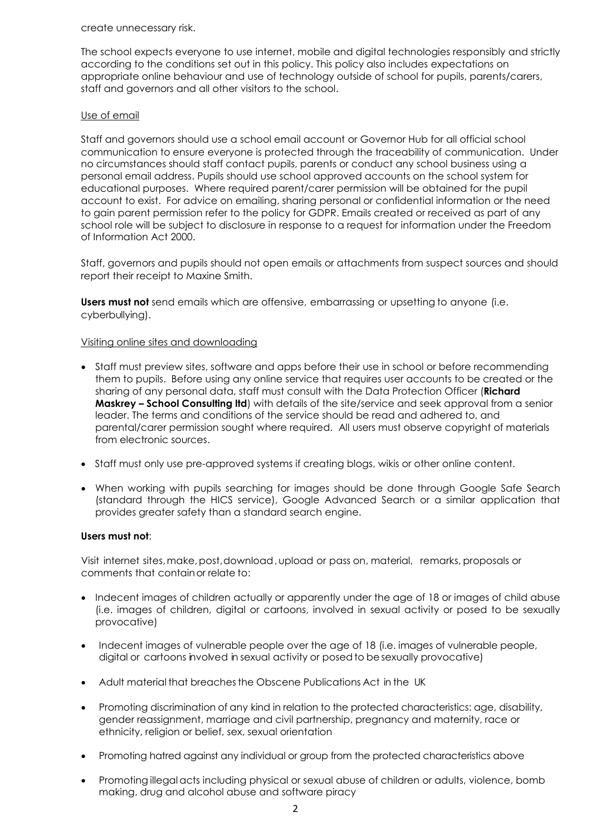create unnecessary risk.

The school expects everyone to use internet, mobile and digital technologies responsibly and strictly according to the conditions set out in this policy. This policy also includes expectations on appropriate online behaviour and use of technology outside of school for pupils, parents/carers, staff and governors and all other visitors to the school.

# <span id="page-3-0"></span>Use of email

Staff and governors should use a school email account or Governor Hub for all official school communication to ensure everyone is protected through the traceability of communication. Under no circumstances should staff contact pupils, parents or conduct any school business using a personal email address. Pupils should use school approved accounts on the school system for educational purposes. Where required parent/carer permission will be obtained for the pupil account to exist. For advice on emailing, sharing personal or confidential information or the need to gain parent permission refer to the policy for GDPR. Emails created or received as part of any school role will be subject to disclosure in response to a request for information under the Freedom of Information Act 2000.

Staff, governors and pupils should not open emails or attachments from suspect sources and should report their receipt to Maxine Smith.

**Users must not** send emails which are offensive, embarrassing or upsetting to anyone (i.e. cyberbullying).

# <span id="page-3-1"></span>Visiting online sites and downloading

- Staff must preview sites, software and apps before their use in school or before recommending them to pupils. Before using any online service that requires user accounts to be created or the sharing of any personal data, staff must consult with the Data Protection Officer (**Richard Maskrey – School Consulting ltd**) with details of the site/service and seek approval from a senior leader. The terms and conditions of the service should be read and adhered to, and parental/carer permission sought where required. All users must observe copyright of materials from electronic sources.
- Staff must only use pre-approved systems if creating blogs, wikis or other online content.
- When working with pupils searching for images should be done through Google Safe Search (standard through the HICS service), Google Advanced Search or a similar application that provides greater safety than a standard search engine.

# **Users must not**:

Visit internet sites,make,post,download,upload or pass on, material, remarks, proposals or comments that containor relate to:

- Indecent images of children actually or apparently under the age of 18 or images of child abuse (i.e. images of children, digital or cartoons, involved in sexual activity or posed to be sexually provocative)
- Indecent images of vulnerable people over the age of 18 (i.e. images of vulnerable people, digital or cartoons involved in sexual activity or posedto besexually provocative)
- Adult material that breachesthe Obscene Publications Act in the UK
- Promoting discrimination of any kind in relation to the protected characteristics: age, disability, gender reassignment, marriage and civil partnership, pregnancy and maternity, race or ethnicity, religion or belief, sex, sexual orientation
- Promoting hatred against any individual or group from the protected characteristics above
- Promoting illegalacts including physical or sexual abuse of children or adults, violence, bomb making, drug and alcohol abuse and software piracy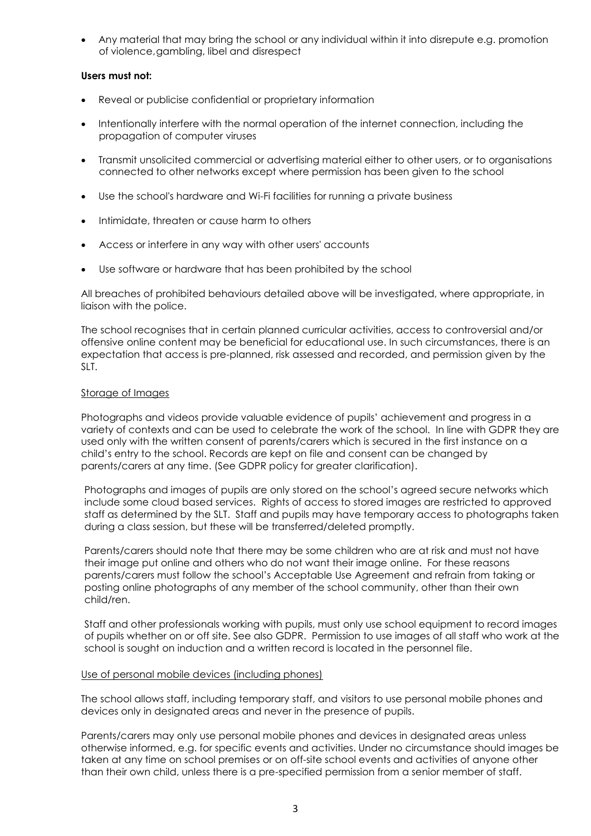Any material that may bring the school or any individual within it into disrepute e.g. promotion of violence,gambling, libel and disrespect

# **Users must not:**

- Reveal or publicise confidential or proprietary information
- Intentionally interfere with the normal operation of the internet connection, including the propagation of computer viruses
- Transmit unsolicited commercial or advertising material either to other users, or to organisations connected to other networks except where permission has been given to the school
- Use the school's hardware and Wi-Fi facilities for running a private business
- Intimidate, threaten or cause harm to others
- Access or interfere in any way with other users' accounts
- Use software or hardware that has been prohibited by the school

All breaches of prohibited behaviours detailed above will be investigated, where appropriate, in liaison with the police.

The school recognises that in certain planned curricular activities, access to controversial and/or offensive online content may be beneficial for educational use. In such circumstances, there is an expectation that access is pre-planned, risk assessed and recorded, and permission given by the SLT.

# <span id="page-4-0"></span>Storage of Images

Photographs and videos provide valuable evidence of pupils' achievement and progress in a variety of contexts and can be used to celebrate the work of the school. In line with GDPR they are used only with the written consent of parents/carers which is secured in the first instance on a child's entry to the school. Records are kept on file and consent can be changed by parents/carers at any time. (See GDPR policy for greater clarification).

Photographs and images of pupils are only stored on the school's agreed secure networks which include some cloud based services. Rights of access to stored images are restricted to approved staff as determined by the SLT. Staff and pupils may have temporary access to photographs taken during a class session, but these will be transferred/deleted promptly.

Parents/carers should note that there may be some children who are at risk and must not have their image put online and others who do not want their image online. For these reasons parents/carers must follow the school's Acceptable Use Agreement and refrain from taking or posting online photographs of any member of the school community, other than their own child/ren.

Staff and other professionals working with pupils, must only use school equipment to record images of pupils whether on or off site. See also GDPR. Permission to use images of all staff who work at the school is sought on induction and a written record is located in the personnel file.

# <span id="page-4-1"></span>Use of personal mobile devices (including phones)

The school allows staff, including temporary staff, and visitors to use personal mobile phones and devices only in designated areas and never in the presence of pupils.

Parents/carers may only use personal mobile phones and devices in designated areas unless otherwise informed, e.g. for specific events and activities. Under no circumstance should images be taken at any time on school premises or on off-site school events and activities of anyone other than their own child, unless there is a pre-specified permission from a senior member of staff.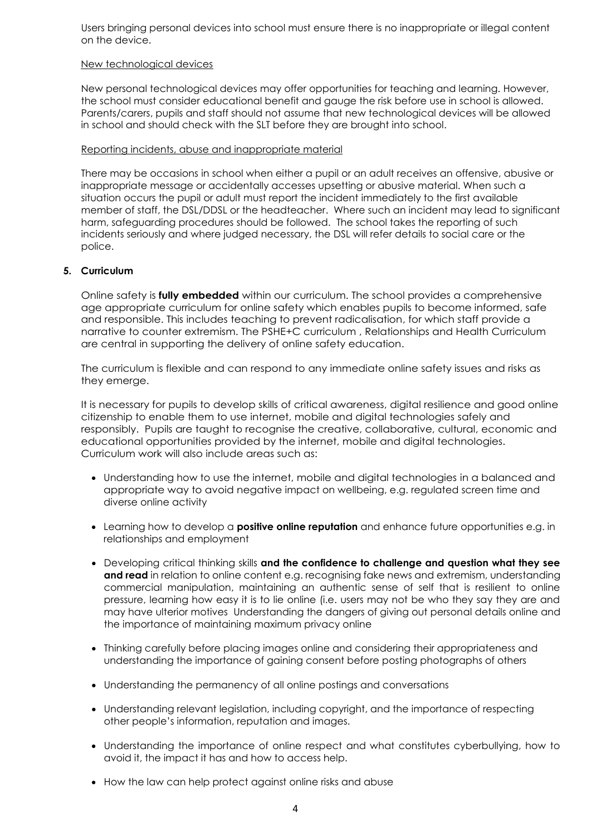Users bringing personal devices into school must ensure there is no inappropriate or illegal content on the device.

### New technological devices

New personal technological devices may offer opportunities for teaching and learning. However, the school must consider educational benefit and gauge the risk before use in school is allowed. Parents/carers, pupils and staff should not assume that new technological devices will be allowed in school and should check with the SLT before they are brought into school.

# <span id="page-5-0"></span>Reporting incidents, abuse and inappropriate material

There may be occasions in school when either a pupil or an adult receives an offensive, abusive or inappropriate message or accidentally accesses upsetting or abusive material. When such a situation occurs the pupil or adult must report the incident immediately to the first available member of staff, the DSL/DDSL or the headteacher. Where such an incident may lead to significant harm, safeguarding procedures should be followed. The school takes the reporting of such incidents seriously and where judged necessary, the DSL will refer details to social care or the police.

# <span id="page-5-1"></span>**5. Curriculum**

Online safety is **fully embedded** within our curriculum. The school provides a comprehensive age appropriate curriculum for online safety which enables pupils to become informed, safe and responsible. This includes teaching to prevent radicalisation, for which staff provide a narrative to counter extremism. The PSHE+C curriculum , Relationships and Health Curriculum are central in supporting the delivery of online safety education.

The curriculum is flexible and can respond to any immediate online safety issues and risks as they emerge.

It is necessary for pupils to develop skills of critical awareness, digital resilience and good online citizenship to enable them to use internet, mobile and digital technologies safely and responsibly. Pupils are taught to recognise the creative, collaborative, cultural, economic and educational opportunities provided by the internet, mobile and digital technologies. Curriculum work will also include areas such as:

- Understanding how to use the internet, mobile and digital technologies in a balanced and appropriate way to avoid negative impact on wellbeing, e.g. regulated screen time and diverse online activity
- Learning how to develop a **positive online reputation** and enhance future opportunities e.g. in relationships and employment
- Developing critical thinking skills **and the confidence to challenge and question what they see and read** in relation to online content e.g. recognising fake news and extremism, understanding commercial manipulation, maintaining an authentic sense of self that is resilient to online pressure, learning how easy it is to lie online (i.e. users may not be who they say they are and may have ulterior motives Understanding the dangers of giving out personal details online and the importance of maintaining maximum privacy online
- Thinking carefully before placing images online and considering their appropriateness and understanding the importance of gaining consent before posting photographs of others
- Understanding the permanency of all online postings and conversations
- Understanding relevant legislation, including copyright, and the importance of respecting other people's information, reputation and images.
- Understanding the importance of online respect and what constitutes cyberbullying, how to avoid it, the impact it has and how to access help.
- How the law can help protect against online risks and abuse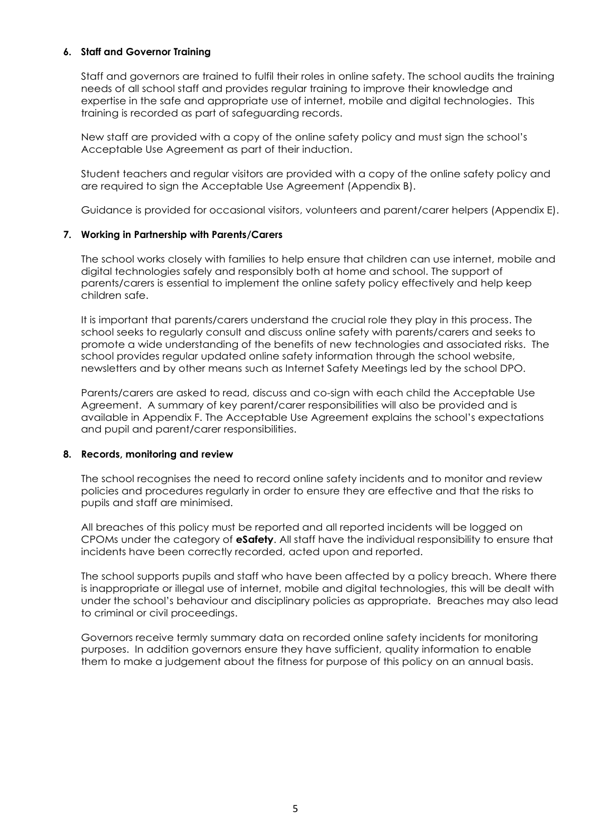# <span id="page-6-0"></span>**6. Staff and Governor Training**

Staff and governors are trained to fulfil their roles in online safety. The school audits the training needs of all school staff and provides regular training to improve their knowledge and expertise in the safe and appropriate use of internet, mobile and digital technologies. This training is recorded as part of safeguarding records.

New staff are provided with a copy of the online safety policy and must sign the school's Acceptable Use Agreement as part of their induction.

Student teachers and regular visitors are provided with a copy of the online safety policy and are required to sign the Acceptable Use Agreement (Appendix B).

Guidance is provided for occasional visitors, volunteers and parent/carer helpers (Appendix E).

# <span id="page-6-1"></span>**7. Working in Partnership with Parents/Carers**

The school works closely with families to help ensure that children can use internet, mobile and digital technologies safely and responsibly both at home and school. The support of parents/carers is essential to implement the online safety policy effectively and help keep children safe.

It is important that parents/carers understand the crucial role they play in this process. The school seeks to regularly consult and discuss online safety with parents/carers and seeks to promote a wide understanding of the benefits of new technologies and associated risks. The school provides regular updated online safety information through the school website, newsletters and by other means such as Internet Safety Meetings led by the school DPO.

Parents/carers are asked to read, discuss and co-sign with each child the Acceptable Use Agreement. A summary of key parent/carer responsibilities will also be provided and is available in Appendix F. The Acceptable Use Agreement explains the school's expectations and pupil and parent/carer responsibilities.

# <span id="page-6-2"></span>**8. Records, monitoring and review**

The school recognises the need to record online safety incidents and to monitor and review policies and procedures regularly in order to ensure they are effective and that the risks to pupils and staff are minimised.

All breaches of this policy must be reported and all reported incidents will be logged on CPOMs under the category of **eSafety**. All staff have the individual responsibility to ensure that incidents have been correctly recorded, acted upon and reported.

The school supports pupils and staff who have been affected by a policy breach. Where there is inappropriate or illegal use of internet, mobile and digital technologies, this will be dealt with under the school's behaviour and disciplinary policies as appropriate. Breaches may also lead to criminal or civil proceedings.

Governors receive termly summary data on recorded online safety incidents for monitoring purposes. In addition governors ensure they have sufficient, quality information to enable them to make a judgement about the fitness for purpose of this policy on an annual basis.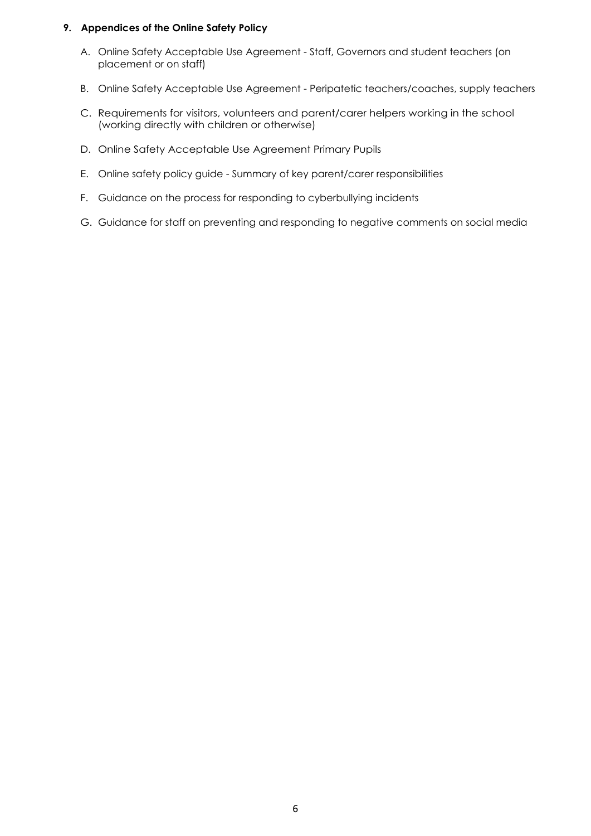# <span id="page-7-0"></span>**9. Appendices of the Online Safety Policy**

- A. Online Safety Acceptable Use Agreement Staff, Governors and student teachers (on placement or on staff)
- B. Online Safety Acceptable Use Agreement Peripatetic teachers/coaches, supply teachers
- C. Requirements for visitors, volunteers and parent/carer helpers working in the school (working directly with children or otherwise)
- D. Online Safety Acceptable Use Agreement Primary Pupils
- E. Online safety policy guide Summary of key parent/carer responsibilities
- F. Guidance on the process for responding to cyberbullying incidents
- G. Guidance for staff on preventing and responding to negative comments on social media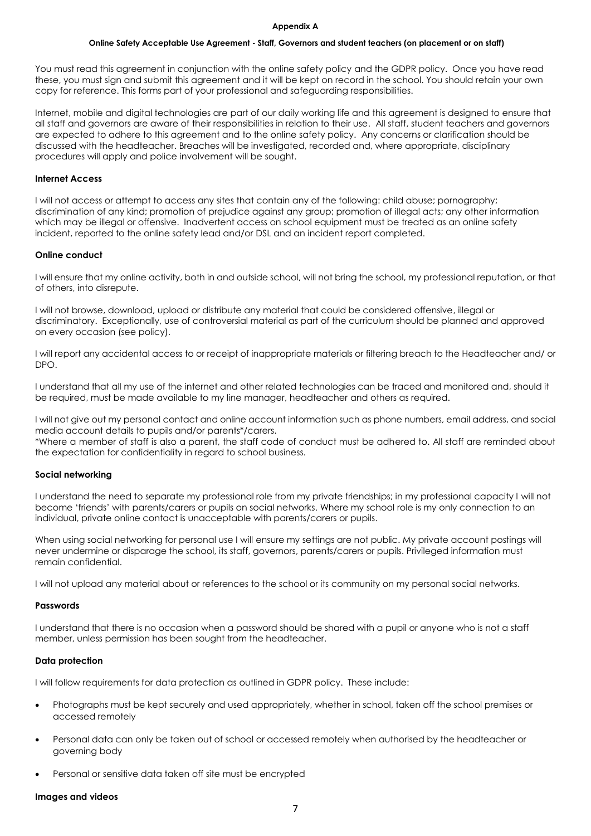#### **Appendix A**

#### <span id="page-8-1"></span>**Online Safety Acceptable Use Agreement - Staff, Governors and student teachers (on placement or on staff)**

<span id="page-8-0"></span>You must read this agreement in conjunction with the online safety policy and the GDPR policy. Once you have read these, you must sign and submit this agreement and it will be kept on record in the school. You should retain your own copy for reference. This forms part of your professional and safeguarding responsibilities.

Internet, mobile and digital technologies are part of our daily working life and this agreement is designed to ensure that all staff and governors are aware of their responsibilities in relation to their use. All staff, student teachers and governors are expected to adhere to this agreement and to the online safety policy. Any concerns or clarification should be discussed with the headteacher. Breaches will be investigated, recorded and, where appropriate, disciplinary procedures will apply and police involvement will be sought.

### **Internet Access**

I will not access or attempt to access any sites that contain any of the following: child abuse; pornography; discrimination of any kind; promotion of prejudice against any group; promotion of illegal acts; any other information which may be illegal or offensive. Inadvertent access on school equipment must be treated as an online safety incident, reported to the online safety lead and/or DSL and an incident report completed.

### **Online conduct**

I will ensure that my online activity, both in and outside school, will not bring the school, my professional reputation, or that of others, into disrepute.

I will not browse, download, upload or distribute any material that could be considered offensive, illegal or discriminatory. Exceptionally, use of controversial material as part of the curriculum should be planned and approved on every occasion (see policy).

I will report any accidental access to or receipt of inappropriate materials or filtering breach to the Headteacher and/ or DPO.

I understand that all my use of the internet and other related technologies can be traced and monitored and, should it be required, must be made available to my line manager, headteacher and others as required.

I will not give out my personal contact and online account information such as phone numbers, email address, and social media account details to pupils and/or parents\*/carers.

\*Where a member of staff is also a parent, the staff code of conduct must be adhered to. All staff are reminded about the expectation for confidentiality in regard to school business.

#### **Social networking**

I understand the need to separate my professional role from my private friendships; in my professional capacity I will not become 'friends' with parents/carers or pupils on social networks. Where my school role is my only connection to an individual, private online contact is unacceptable with parents/carers or pupils.

When using social networking for personal use I will ensure my settings are not public. My private account postings will never undermine or disparage the school, its staff, governors, parents/carers or pupils. Privileged information must remain confidential.

I will not upload any material about or references to the school or its community on my personal social networks.

#### **Passwords**

I understand that there is no occasion when a password should be shared with a pupil or anyone who is not a staff member, unless permission has been sought from the headteacher.

#### **Data protection**

I will follow requirements for data protection as outlined in GDPR policy. These include:

- Photographs must be kept securely and used appropriately, whether in school, taken off the school premises or accessed remotely
- Personal data can only be taken out of school or accessed remotely when authorised by the headteacher or governing body
- Personal or sensitive data taken off site must be encrypted

#### **Images and videos**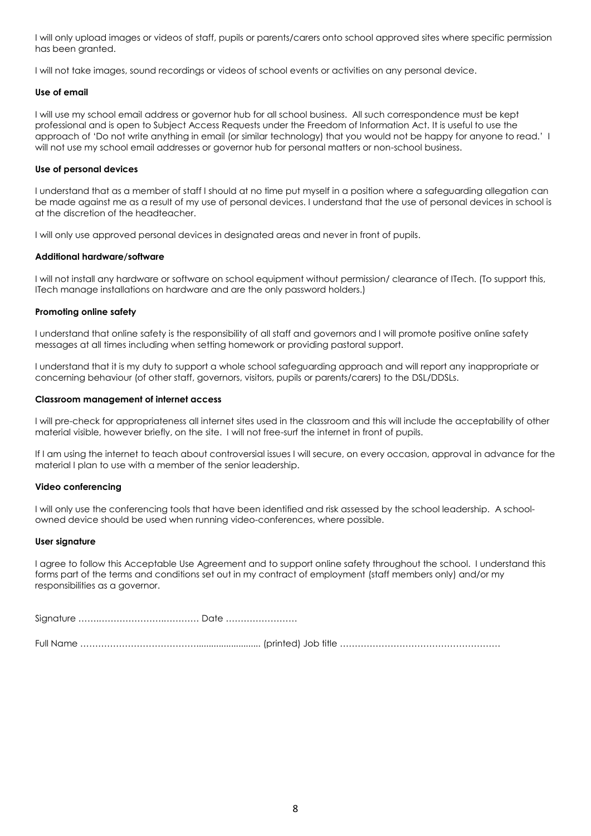I will only upload images or videos of staff, pupils or parents/carers onto school approved sites where specific permission has been granted.

I will not take images, sound recordings or videos of school events or activities on any personal device.

#### **Use of email**

I will use my school email address or governor hub for all school business. All such correspondence must be kept professional and is open to Subject Access Requests under the Freedom of Information Act. It is useful to use the approach of 'Do not write anything in email (or similar technology) that you would not be happy for anyone to read.' I will not use my school email addresses or governor hub for personal matters or non-school business.

#### **Use of personal devices**

I understand that as a member of staff I should at no time put myself in a position where a safeguarding allegation can be made against me as a result of my use of personal devices. I understand that the use of personal devices in school is at the discretion of the headteacher.

I will only use approved personal devices in designated areas and never in front of pupils.

#### **Additional hardware/software**

I will not install any hardware or software on school equipment without permission/ clearance of ITech. (To support this, ITech manage installations on hardware and are the only password holders.)

#### **Promoting online safety**

I understand that online safety is the responsibility of all staff and governors and I will promote positive online safety messages at all times including when setting homework or providing pastoral support.

I understand that it is my duty to support a whole school safeguarding approach and will report any inappropriate or concerning behaviour (of other staff, governors, visitors, pupils or parents/carers) to the DSL/DDSLs.

#### **Classroom management of internet access**

I will pre-check for appropriateness all internet sites used in the classroom and this will include the acceptability of other material visible, however briefly, on the site. I will not free-surf the internet in front of pupils.

If I am using the internet to teach about controversial issues I will secure, on every occasion, approval in advance for the material I plan to use with a member of the senior leadership.

### **Video conferencing**

I will only use the conferencing tools that have been identified and risk assessed by the school leadership. A schoolowned device should be used when running video-conferences, where possible.

#### **User signature**

I agree to follow this Acceptable Use Agreement and to support online safety throughout the school. I understand this forms part of the terms and conditions set out in my contract of employment (staff members only) and/or my responsibilities as a governor.

Signature …….………………….………… Date ……………………

Full Name ………………………………….......................... (printed) Job title ………………………………………………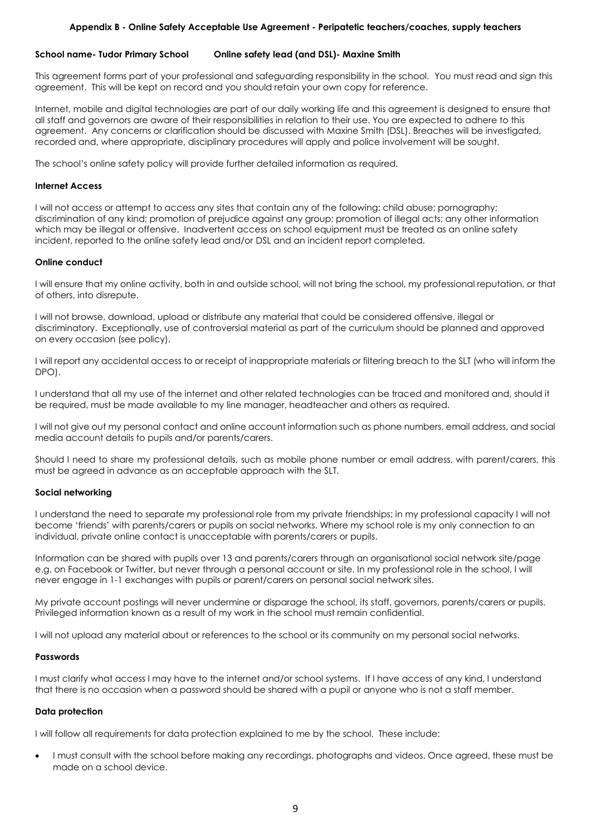### **Appendix B - Online Safety Acceptable Use Agreement - Peripatetic teachers/coaches, supply teachers**

### <span id="page-10-0"></span>**School name- Tudor Primary School Online safety lead (and DSL)- Maxine Smith**

This agreement forms part of your professional and safeguarding responsibility in the school. You must read and sign this agreement. This will be kept on record and you should retain your own copy for reference.

Internet, mobile and digital technologies are part of our daily working life and this agreement is designed to ensure that all staff and governors are aware of their responsibilities in relation to their use. You are expected to adhere to this agreement. Any concerns or clarification should be discussed with Maxine Smith (DSL). Breaches will be investigated, recorded and, where appropriate, disciplinary procedures will apply and police involvement will be sought.

The school's online safety policy will provide further detailed information as required.

### **Internet Access**

I will not access or attempt to access any sites that contain any of the following: child abuse; pornography; discrimination of any kind; promotion of prejudice against any group; promotion of illegal acts; any other information which may be illegal or offensive. Inadvertent access on school equipment must be treated as an online safety incident, reported to the online safety lead and/or DSL and an incident report completed.

### **Online conduct**

I will ensure that my online activity, both in and outside school, will not bring the school, my professional reputation, or that of others, into disrepute.

I will not browse, download, upload or distribute any material that could be considered offensive, illegal or discriminatory. Exceptionally, use of controversial material as part of the curriculum should be planned and approved on every occasion (see policy).

I will report any accidental access to or receipt of inappropriate materials or filtering breach to the SLT (who will inform the DPO).

I understand that all my use of the internet and other related technologies can be traced and monitored and, should it be required, must be made available to my line manager, headteacher and others as required.

I will not give out my personal contact and online account information such as phone numbers, email address, and social media account details to pupils and/or parents/carers.

Should I need to share my professional details, such as mobile phone number or email address, with parent/carers, this must be agreed in advance as an acceptable approach with the SLT.

### **Social networking**

I understand the need to separate my professional role from my private friendships; in my professional capacity I will not become 'friends' with parents/carers or pupils on social networks. Where my school role is my only connection to an individual, private online contact is unacceptable with parents/carers or pupils.

Information can be shared with pupils over 13 and parents/carers through an organisational social network site/page e.g. on Facebook or Twitter, but never through a personal account or site. In my professional role in the school, I will never engage in 1-1 exchanges with pupils or parent/carers on personal social network sites.

My private account postings will never undermine or disparage the school, its staff, governors, parents/carers or pupils. Privileged information known as a result of my work in the school must remain confidential.

I will not upload any material about or references to the school or its community on my personal social networks.

### **Passwords**

I must clarify what access I may have to the internet and/or school systems. If I have access of any kind, I understand that there is no occasion when a password should be shared with a pupil or anyone who is not a staff member.

### **Data protection**

I will follow all requirements for data protection explained to me by the school. These include:

 I must consult with the school before making any recordings, photographs and videos. Once agreed, these must be made on a school device.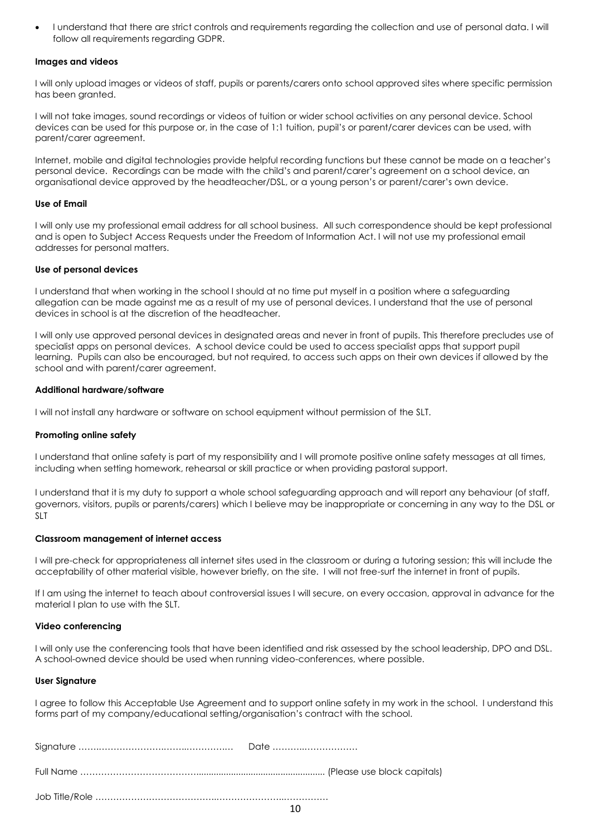I understand that there are strict controls and requirements regarding the collection and use of personal data. I will follow all requirements regarding GDPR.

#### **Images and videos**

I will only upload images or videos of staff, pupils or parents/carers onto school approved sites where specific permission has been granted.

I will not take images, sound recordings or videos of tuition or wider school activities on any personal device. School devices can be used for this purpose or, in the case of 1:1 tuition, pupil's or parent/carer devices can be used, with parent/carer agreement.

Internet, mobile and digital technologies provide helpful recording functions but these cannot be made on a teacher's personal device. Recordings can be made with the child's and parent/carer's agreement on a school device, an organisational device approved by the headteacher/DSL, or a young person's or parent/carer's own device.

### **Use of Email**

I will only use my professional email address for all school business. All such correspondence should be kept professional and is open to Subject Access Requests under the Freedom of Information Act. I will not use my professional email addresses for personal matters.

#### **Use of personal devices**

I understand that when working in the school I should at no time put myself in a position where a safeguarding allegation can be made against me as a result of my use of personal devices. I understand that the use of personal devices in school is at the discretion of the headteacher.

I will only use approved personal devices in designated areas and never in front of pupils. This therefore precludes use of specialist apps on personal devices. A school device could be used to access specialist apps that support pupil learning. Pupils can also be encouraged, but not required, to access such apps on their own devices if allowed by the school and with parent/carer agreement.

#### **Additional hardware/software**

I will not install any hardware or software on school equipment without permission of the SLT.

#### **Promoting online safety**

I understand that online safety is part of my responsibility and I will promote positive online safety messages at all times, including when setting homework, rehearsal or skill practice or when providing pastoral support.

I understand that it is my duty to support a whole school safeguarding approach and will report any behaviour (of staff, governors, visitors, pupils or parents/carers) which I believe may be inappropriate or concerning in any way to the DSL or SLT

#### **Classroom management of internet access**

I will pre-check for appropriateness all internet sites used in the classroom or during a tutoring session; this will include the acceptability of other material visible, however briefly, on the site. I will not free-surf the internet in front of pupils.

If I am using the internet to teach about controversial issues I will secure, on every occasion, approval in advance for the material I plan to use with the SLT.

#### **Video conferencing**

I will only use the conferencing tools that have been identified and risk assessed by the school leadership, DPO and DSL. A school-owned device should be used when running video-conferences, where possible.

#### **User Signature**

I agree to follow this Acceptable Use Agreement and to support online safety in my work in the school. I understand this forms part of my company/educational setting/organisation's contract with the school.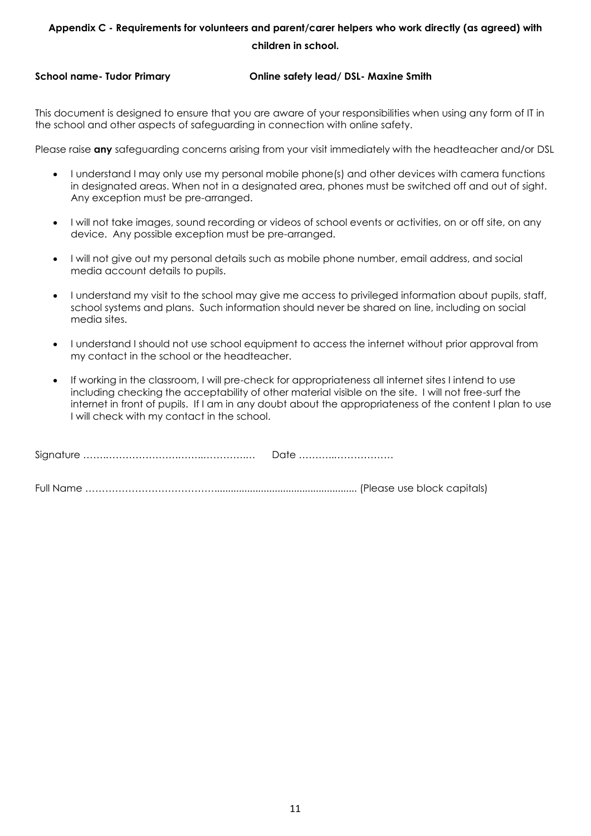# <span id="page-12-0"></span>**Appendix C - Requirements for volunteers and parent/carer helpers who work directly (as agreed) with children in school.**

# **School name- Tudor Primary Online safety lead/ DSL- Maxine Smith**

This document is designed to ensure that you are aware of your responsibilities when using any form of IT in the school and other aspects of safeguarding in connection with online safety.

Please raise **any** safeguarding concerns arising from your visit immediately with the headteacher and/or DSL

- I understand I may only use my personal mobile phone(s) and other devices with camera functions in designated areas. When not in a designated area, phones must be switched off and out of sight. Any exception must be pre-arranged.
- I will not take images, sound recording or videos of school events or activities, on or off site, on any device. Any possible exception must be pre-arranged.
- I will not give out my personal details such as mobile phone number, email address, and social media account details to pupils.
- I understand my visit to the school may give me access to privileged information about pupils, staff, school systems and plans. Such information should never be shared on line, including on social media sites.
- I understand I should not use school equipment to access the internet without prior approval from my contact in the school or the headteacher.
- If working in the classroom, I will pre-check for appropriateness all internet sites I intend to use including checking the acceptability of other material visible on the site. I will not free-surf the internet in front of pupils. If I am in any doubt about the appropriateness of the content I plan to use I will check with my contact in the school.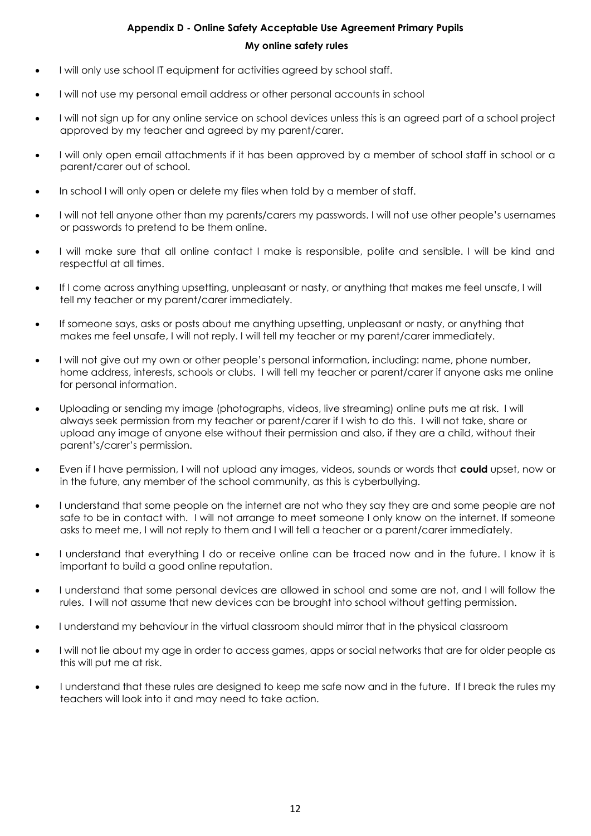# **Appendix D - Online Safety Acceptable Use Agreement Primary Pupils My online safety rules**

- <span id="page-13-0"></span>I will only use school IT equipment for activities agreed by school staff.
- I will not use my personal email address or other personal accounts in school
- I will not sign up for any online service on school devices unless this is an agreed part of a school project approved by my teacher and agreed by my parent/carer.
- I will only open email attachments if it has been approved by a member of school staff in school or a parent/carer out of school.
- In school I will only open or delete my files when told by a member of staff.
- I will not tell anyone other than my parents/carers my passwords. I will not use other people's usernames or passwords to pretend to be them online.
- I will make sure that all online contact I make is responsible, polite and sensible. I will be kind and respectful at all times.
- If I come across anything upsetting, unpleasant or nasty, or anything that makes me feel unsafe, I will tell my teacher or my parent/carer immediately.
- If someone says, asks or posts about me anything upsetting, unpleasant or nasty, or anything that makes me feel unsafe, I will not reply. I will tell my teacher or my parent/carer immediately.
- I will not give out my own or other people's personal information, including: name, phone number, home address, interests, schools or clubs. I will tell my teacher or parent/carer if anyone asks me online for personal information.
- Uploading or sending my image (photographs, videos, live streaming) online puts me at risk. I will always seek permission from my teacher or parent/carer if I wish to do this. I will not take, share or upload any image of anyone else without their permission and also, if they are a child, without their parent's/carer's permission.
- Even if I have permission, I will not upload any images, videos, sounds or words that **could** upset, now or in the future, any member of the school community, as this is cyberbullying.
- I understand that some people on the internet are not who they say they are and some people are not safe to be in contact with. I will not arrange to meet someone I only know on the internet. If someone asks to meet me, I will not reply to them and I will tell a teacher or a parent/carer immediately.
- I understand that everything I do or receive online can be traced now and in the future. I know it is important to build a good online reputation.
- I understand that some personal devices are allowed in school and some are not, and I will follow the rules. I will not assume that new devices can be brought into school without getting permission.
- I understand my behaviour in the virtual classroom should mirror that in the physical classroom
- I will not lie about my age in order to access games, apps or social networks that are for older people as this will put me at risk.
- I understand that these rules are designed to keep me safe now and in the future. If I break the rules my teachers will look into it and may need to take action.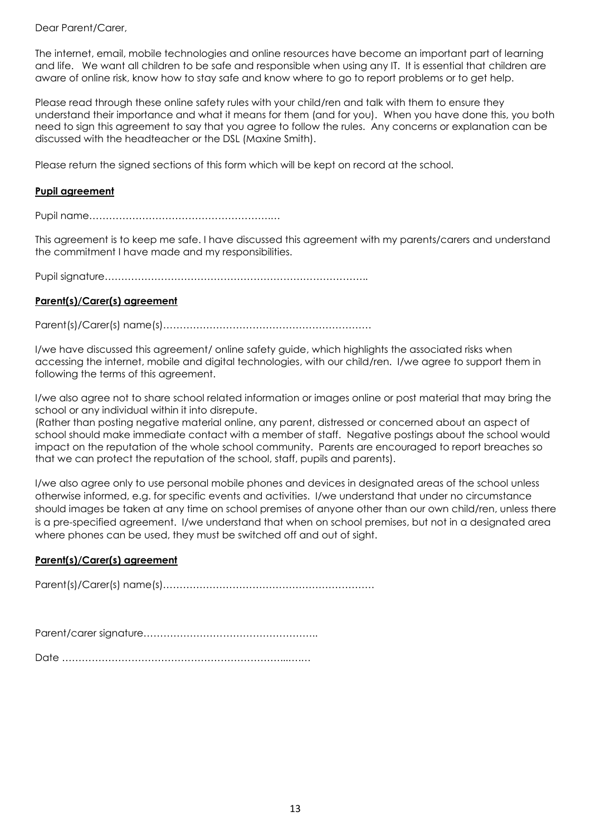# Dear Parent/Carer,

The internet, email, mobile technologies and online resources have become an important part of learning and life. We want all children to be safe and responsible when using any IT. It is essential that children are aware of online risk, know how to stay safe and know where to go to report problems or to get help.

Please read through these online safety rules with your child/ren and talk with them to ensure they understand their importance and what it means for them (and for you). When you have done this, you both need to sign this agreement to say that you agree to follow the rules. Any concerns or explanation can be discussed with the headteacher or the DSL (Maxine Smith).

Please return the signed sections of this form which will be kept on record at the school.

# **Pupil agreement**

Pupil name……………………………………………….…

This agreement is to keep me safe. I have discussed this agreement with my parents/carers and understand the commitment I have made and my responsibilities.

Pupil signature……………………………………………………………………..

# **Parent(s)/Carer(s) agreement**

Parent(s)/Carer(s) name(s)………………………………………………………

I/we have discussed this agreement/ online safety guide, which highlights the associated risks when accessing the internet, mobile and digital technologies, with our child/ren. I/we agree to support them in following the terms of this agreement.

I/we also agree not to share school related information or images online or post material that may bring the school or any individual within it into disrepute.

(Rather than posting negative material online, any parent, distressed or concerned about an aspect of school should make immediate contact with a member of staff. Negative postings about the school would impact on the reputation of the whole school community. Parents are encouraged to report breaches so that we can protect the reputation of the school, staff, pupils and parents).

I/we also agree only to use personal mobile phones and devices in designated areas of the school unless otherwise informed, e.g. for specific events and activities. I/we understand that under no circumstance should images be taken at any time on school premises of anyone other than our own child/ren, unless there is a pre-specified agreement. I/we understand that when on school premises, but not in a designated area where phones can be used, they must be switched off and out of sight.

# **Parent(s)/Carer(s) agreement**

Parent(s)/Carer(s) name(s)……………………………………………………….

Parent/carer signature……………………………………………..

Date …………………………………………………………...….…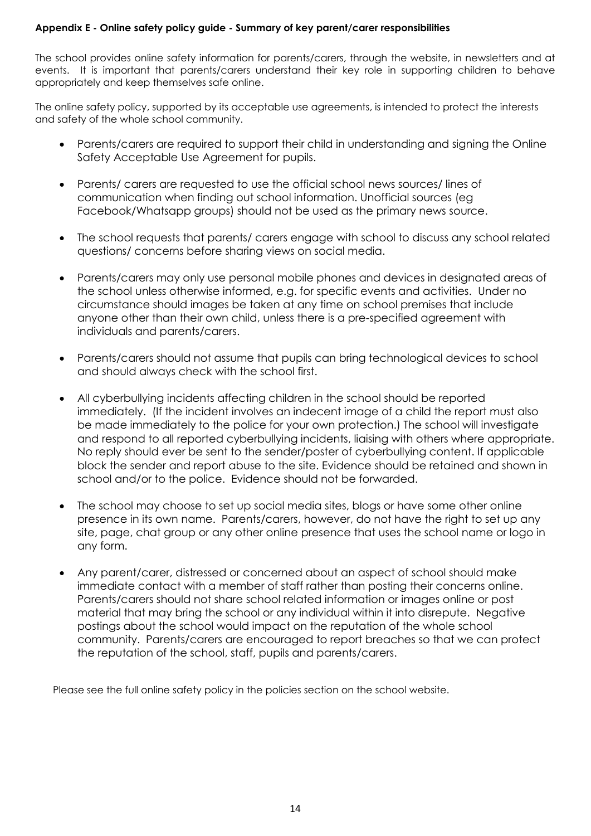# <span id="page-15-0"></span>**Appendix E - Online safety policy guide - Summary of key parent/carer responsibilities**

The school provides online safety information for parents/carers, through the website, in newsletters and at events. It is important that parents/carers understand their key role in supporting children to behave appropriately and keep themselves safe online.

The online safety policy, supported by its acceptable use agreements, is intended to protect the interests and safety of the whole school community.

- Parents/carers are required to support their child in understanding and signing the Online Safety Acceptable Use Agreement for pupils.
- Parents/ carers are requested to use the official school news sources/ lines of communication when finding out school information. Unofficial sources (eg Facebook/Whatsapp groups) should not be used as the primary news source.
- The school requests that parents/ carers engage with school to discuss any school related questions/ concerns before sharing views on social media.
- Parents/carers may only use personal mobile phones and devices in designated areas of the school unless otherwise informed, e.g. for specific events and activities. Under no circumstance should images be taken at any time on school premises that include anyone other than their own child, unless there is a pre-specified agreement with individuals and parents/carers.
- Parents/carers should not assume that pupils can bring technological devices to school and should always check with the school first.
- All cyberbullying incidents affecting children in the school should be reported immediately. (If the incident involves an indecent image of a child the report must also be made immediately to the police for your own protection.) The school will investigate and respond to all reported cyberbullying incidents, liaising with others where appropriate. No reply should ever be sent to the sender/poster of cyberbullying content. If applicable block the sender and report abuse to the site. Evidence should be retained and shown in school and/or to the police. Evidence should not be forwarded.
- The school may choose to set up social media sites, blogs or have some other online presence in its own name. Parents/carers, however, do not have the right to set up any site, page, chat group or any other online presence that uses the school name or logo in any form.
- Any parent/carer, distressed or concerned about an aspect of school should make immediate contact with a member of staff rather than posting their concerns online. Parents/carers should not share school related information or images online or post material that may bring the school or any individual within it into disrepute. Negative postings about the school would impact on the reputation of the whole school community. Parents/carers are encouraged to report breaches so that we can protect the reputation of the school, staff, pupils and parents/carers.

Please see the full online safety policy in the policies section on the school website.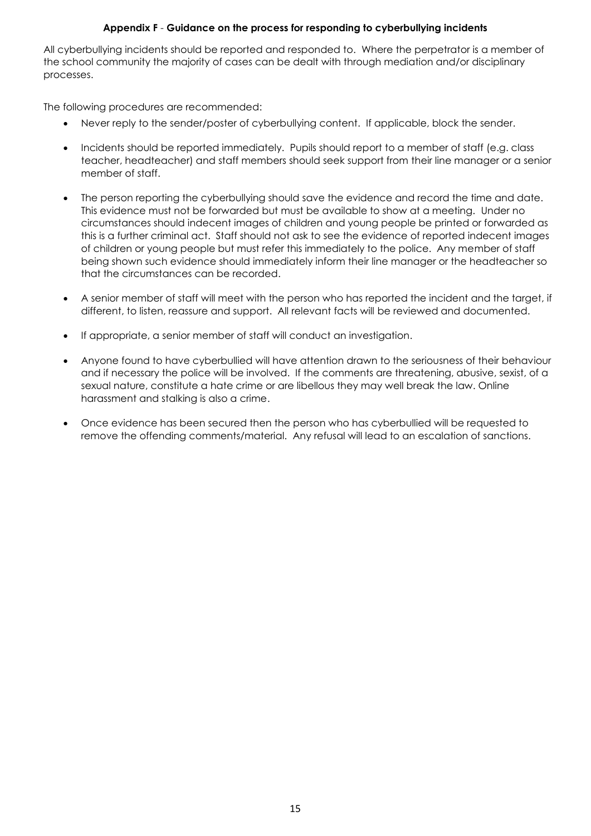# **Appendix F** - **Guidance on the process for responding to cyberbullying incidents**

<span id="page-16-0"></span>All cyberbullying incidents should be reported and responded to. Where the perpetrator is a member of the school community the majority of cases can be dealt with through mediation and/or disciplinary processes.

The following procedures are recommended:

- Never reply to the sender/poster of cyberbullying content. If applicable, block the sender.
- Incidents should be reported immediately. Pupils should report to a member of staff (e.g. class teacher, headteacher) and staff members should seek support from their line manager or a senior member of staff.
- The person reporting the cyberbullying should save the evidence and record the time and date. This evidence must not be forwarded but must be available to show at a meeting. Under no circumstances should indecent images of children and young people be printed or forwarded as this is a further criminal act. Staff should not ask to see the evidence of reported indecent images of children or young people but must refer this immediately to the police. Any member of staff being shown such evidence should immediately inform their line manager or the headteacher so that the circumstances can be recorded.
- A senior member of staff will meet with the person who has reported the incident and the target, if different, to listen, reassure and support. All relevant facts will be reviewed and documented.
- If appropriate, a senior member of staff will conduct an investigation.
- Anyone found to have cyberbullied will have attention drawn to the seriousness of their behaviour and if necessary the police will be involved. If the comments are threatening, abusive, sexist, of a sexual nature, constitute a hate crime or are libellous they may well break the law. Online harassment and stalking is also a crime.
- Once evidence has been secured then the person who has cyberbullied will be requested to remove the offending comments/material. Any refusal will lead to an escalation of sanctions.